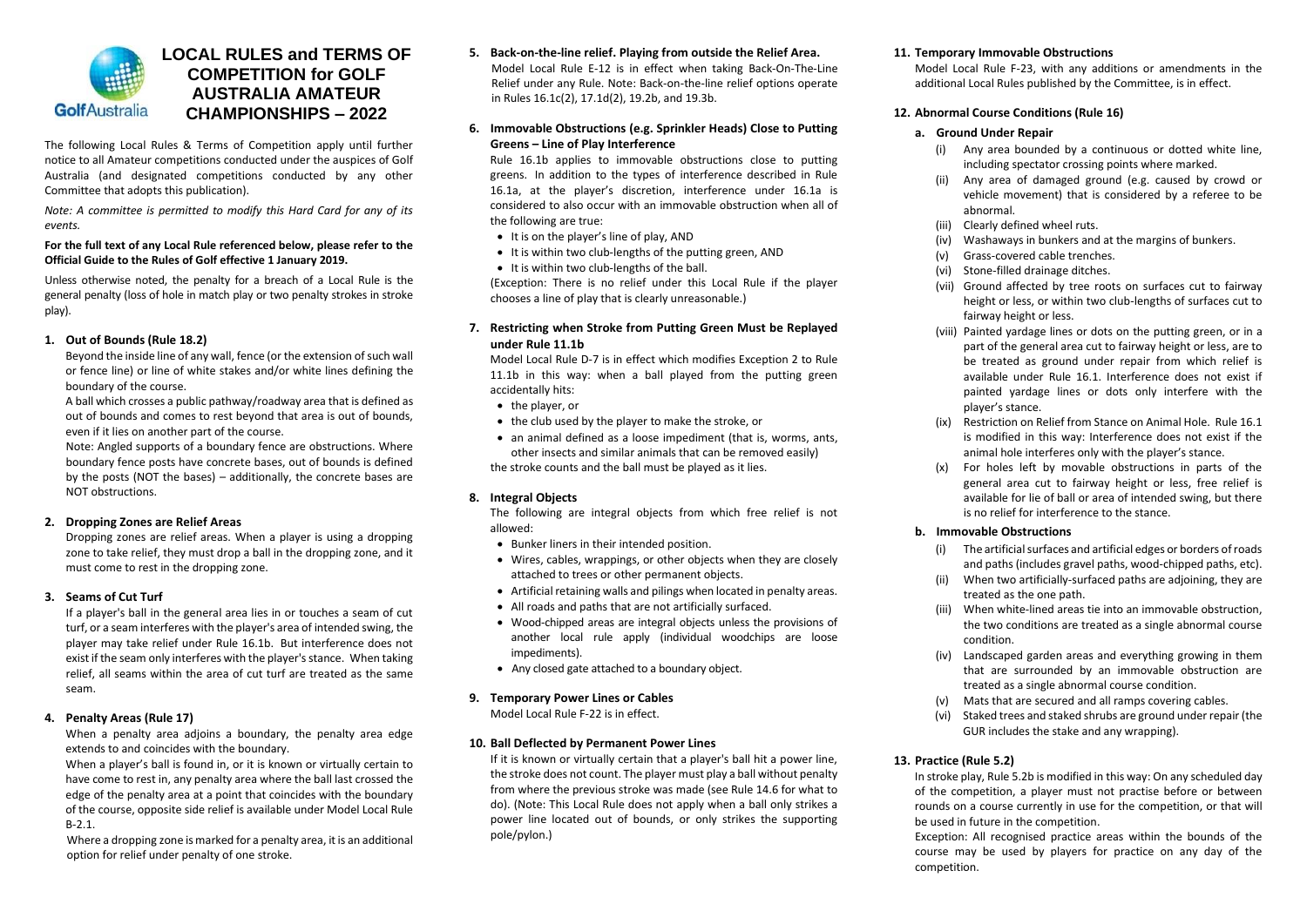

# **LOCAL RULES and TERMS OF COMPETITION for GOLF AUSTRALIA AMATEUR CHAMPIONSHIPS – 2022**

The following Local Rules & Terms of Competition apply until further notice to all Amateur competitions conducted under the auspices of Golf Australia (and designated competitions conducted by any other Committee that adopts this publication).

*Note: A committee is permitted to modify this Hard Card for any of its events.*

#### **For the full text of any Local Rule referenced below, please refer to the Official Guide to the Rules of Golf effective 1 January 2019.**

Unless otherwise noted, the penalty for a breach of a Local Rule is the general penalty (loss of hole in match play or two penalty strokes in stroke play).

### **1. Out of Bounds (Rule 18.2)**

Beyond the inside line of any wall, fence (or the extension of such wall or fence line) or line of white stakes and/or white lines defining the boundary of the course.

A ball which crosses a public pathway/roadway area that is defined as out of bounds and comes to rest beyond that area is out of bounds, even if it lies on another part of the course.

Note: Angled supports of a boundary fence are obstructions. Where boundary fence posts have concrete bases, out of bounds is defined by the posts (NOT the bases) – additionally, the concrete bases are NOT obstructions.

#### **2. Dropping Zones are Relief Areas**

Dropping zones are relief areas. When a player is using a dropping zone to take relief, they must drop a ball in the dropping zone, and it must come to rest in the dropping zone.

# **3. Seams of Cut Turf**

If a player's ball in the general area lies in or touches a seam of cut turf, or a seam interferes with the player's area of intended swing, the player may take relief under Rule 16.1b. But interference does not exist if the seam only interferes with the player's stance. When taking relief, all seams within the area of cut turf are treated as the same seam.

# **4. Penalty Areas (Rule 17)**

When a penalty area adjoins a boundary, the penalty area edge extends to and coincides with the boundary.

When a player's ball is found in, or it is known or virtually certain to have come to rest in, any penalty area where the ball last crossed the edge of the penalty area at a point that coincides with the boundary of the course, opposite side relief is available under Model Local Rule B-2.1.

Where a dropping zone is marked for a penalty area, it is an additional option for relief under penalty of one stroke.

- **5. Back-on-the-line relief. Playing from outside the Relief Area.** Model Local Rule E-12 is in effect when taking Back-On-The-Line Relief under any Rule. Note: Back-on-the-line relief options operate in Rules 16.1c(2), 17.1d(2), 19.2b, and 19.3b.
- **6. Immovable Obstructions (e.g. Sprinkler Heads) Close to Putting Greens – Line of Play Interference**

Rule 16.1b applies to immovable obstructions close to putting greens. In addition to the types of interference described in Rule 16.1a, at the player's discretion, interference under 16.1a is considered to also occur with an immovable obstruction when all of the following are true:

- It is on the player's line of play, AND
- It is within two club-lengths of the putting green, AND
- It is within two club-lengths of the ball.

(Exception: There is no relief under this Local Rule if the player chooses a line of play that is clearly unreasonable.)

**7. Restricting when Stroke from Putting Green Must be Replayed under Rule 11.1b**

Model Local Rule D-7 is in effect which modifies Exception 2 to Rule 11.1b in this way: when a ball played from the putting green accidentally hits:

- the player, or
- the club used by the player to make the stroke, or
- an animal defined as a loose impediment (that is, worms, ants, other insects and similar animals that can be removed easily) the stroke counts and the ball must be played as it lies.

# **8. Integral Objects**

The following are integral objects from which free relief is not allowed:

- Bunker liners in their intended position.
- Wires, cables, wrappings, or other objects when they are closely attached to trees or other permanent objects.
- Artificial retaining walls and pilings when located in penalty areas.
- All roads and paths that are not artificially surfaced.
- Wood-chipped areas are integral objects unless the provisions of another local rule apply (individual woodchips are loose impediments).
- Any closed gate attached to a boundary object.

#### **9. Temporary Power Lines or Cables** Model Local Rule F-22 is in effect.

# **10. Ball Deflected by Permanent Power Lines**

If it is known or virtually certain that a player's ball hit a power line, the stroke does not count. The player must play a ball without penalty from where the previous stroke was made (see Rule 14.6 for what to do). (Note: This Local Rule does not apply when a ball only strikes a power line located out of bounds, or only strikes the supporting pole/pylon.)

#### **11. Temporary Immovable Obstructions**

Model Local Rule F-23, with any additions or amendments in the additional Local Rules published by the Committee, is in effect.

#### **12. Abnormal Course Conditions (Rule 16)**

#### **a. Ground Under Repair**

- (i) Any area bounded by a continuous or dotted white line, including spectator crossing points where marked.
- (ii) Any area of damaged ground (e.g. caused by crowd or vehicle movement) that is considered by a referee to be abnormal.
- (iii) Clearly defined wheel ruts.
- (iv) Washaways in bunkers and at the margins of bunkers.
- (v) Grass-covered cable trenches.
- (vi) Stone-filled drainage ditches.
- (vii) Ground affected by tree roots on surfaces cut to fairway height or less, or within two club-lengths of surfaces cut to fairway height or less.
- (viii) Painted yardage lines or dots on the putting green, or in a part of the general area cut to fairway height or less, are to be treated as ground under repair from which relief is available under Rule 16.1. Interference does not exist if painted yardage lines or dots only interfere with the player's stance.
- (ix) Restriction on Relief from Stance on Animal Hole. Rule 16.1 is modified in this way: Interference does not exist if the animal hole interferes only with the player's stance.
- (x) For holes left by movable obstructions in parts of the general area cut to fairway height or less, free relief is available for lie of ball or area of intended swing, but there is no relief for interference to the stance.

#### **b. Immovable Obstructions**

- (i) The artificial surfaces and artificial edges or borders of roads and paths (includes gravel paths, wood-chipped paths, etc).
- (ii) When two artificially-surfaced paths are adjoining, they are treated as the one path.
- (iii) When white-lined areas tie into an immovable obstruction, the two conditions are treated as a single abnormal course condition.
- (iv) Landscaped garden areas and everything growing in them that are surrounded by an immovable obstruction are treated as a single abnormal course condition.
- (v) Mats that are secured and all ramps covering cables.
- (vi) Staked trees and staked shrubs are ground under repair (the GUR includes the stake and any wrapping).

# **13. Practice (Rule 5.2)**

In stroke play, Rule 5.2b is modified in this way: On any scheduled day of the competition, a player must not practise before or between rounds on a course currently in use for the competition, or that will be used in future in the competition.

Exception: All recognised practice areas within the bounds of the course may be used by players for practice on any day of the competition.